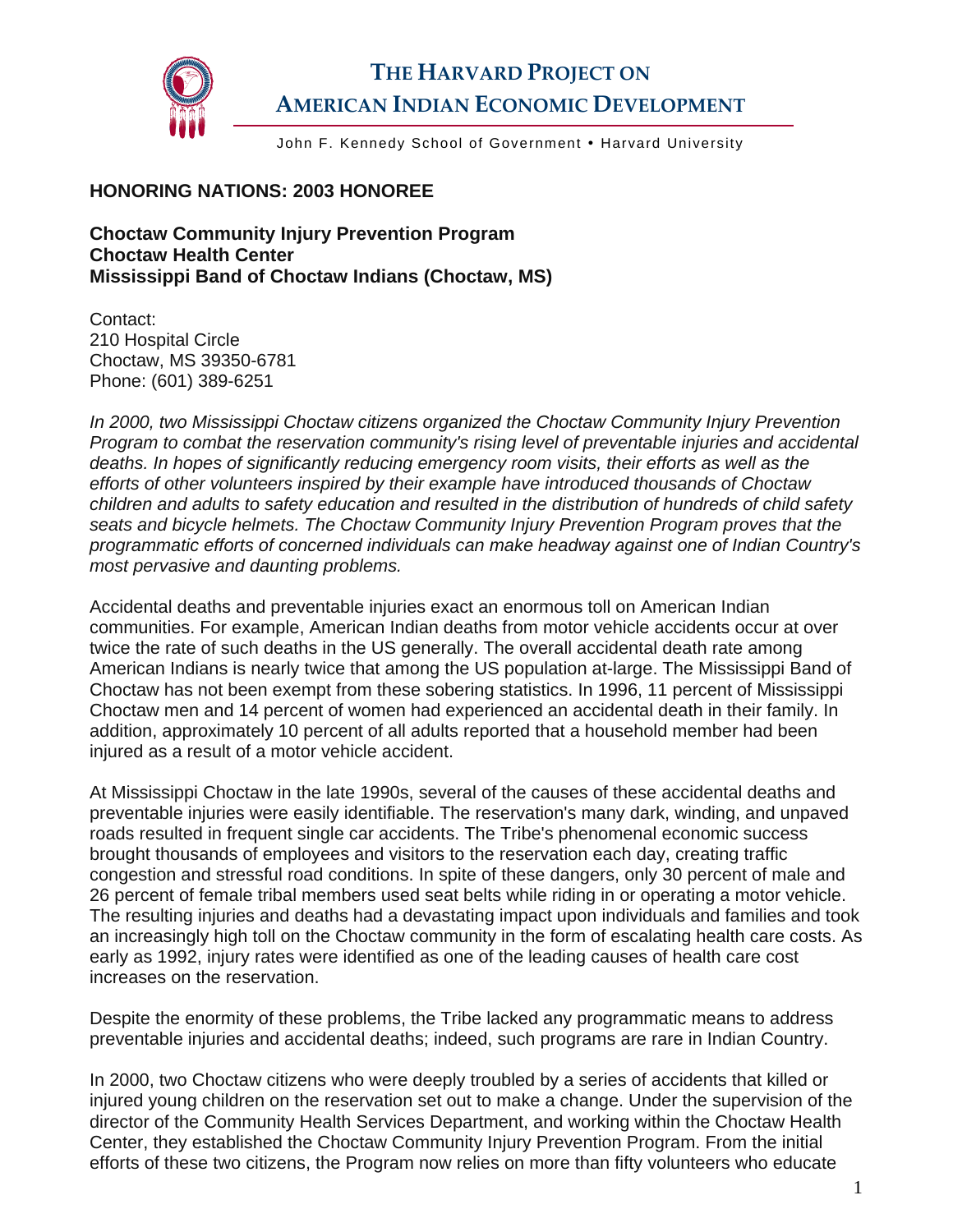

## **THE HARVARD PROJECT ON AMERICAN INDIAN ECONOMIC DEVELOPMENT**

John F. Kennedy School of Government • Harvard University

## **HONORING NATIONS: 2003 HONOREE**

**Choctaw Community Injury Prevention Program Choctaw Health Center Mississippi Band of Choctaw Indians (Choctaw, MS)** 

Contact: 210 Hospital Circle Choctaw, MS 39350-6781 Phone: (601) 389-6251

*In 2000, two Mississippi Choctaw citizens organized the Choctaw Community Injury Prevention Program to combat the reservation community's rising level of preventable injuries and accidental deaths. In hopes of significantly reducing emergency room visits, their efforts as well as the efforts of other volunteers inspired by their example have introduced thousands of Choctaw children and adults to safety education and resulted in the distribution of hundreds of child safety seats and bicycle helmets. The Choctaw Community Injury Prevention Program proves that the programmatic efforts of concerned individuals can make headway against one of Indian Country's most pervasive and daunting problems.* 

Accidental deaths and preventable injuries exact an enormous toll on American Indian communities. For example, American Indian deaths from motor vehicle accidents occur at over twice the rate of such deaths in the US generally. The overall accidental death rate among American Indians is nearly twice that among the US population at-large. The Mississippi Band of Choctaw has not been exempt from these sobering statistics. In 1996, 11 percent of Mississippi Choctaw men and 14 percent of women had experienced an accidental death in their family. In addition, approximately 10 percent of all adults reported that a household member had been injured as a result of a motor vehicle accident.

At Mississippi Choctaw in the late 1990s, several of the causes of these accidental deaths and preventable injuries were easily identifiable. The reservation's many dark, winding, and unpaved roads resulted in frequent single car accidents. The Tribe's phenomenal economic success brought thousands of employees and visitors to the reservation each day, creating traffic congestion and stressful road conditions. In spite of these dangers, only 30 percent of male and 26 percent of female tribal members used seat belts while riding in or operating a motor vehicle. The resulting injuries and deaths had a devastating impact upon individuals and families and took an increasingly high toll on the Choctaw community in the form of escalating health care costs. As early as 1992, injury rates were identified as one of the leading causes of health care cost increases on the reservation.

Despite the enormity of these problems, the Tribe lacked any programmatic means to address preventable injuries and accidental deaths; indeed, such programs are rare in Indian Country.

In 2000, two Choctaw citizens who were deeply troubled by a series of accidents that killed or injured young children on the reservation set out to make a change. Under the supervision of the director of the Community Health Services Department, and working within the Choctaw Health Center, they established the Choctaw Community Injury Prevention Program. From the initial efforts of these two citizens, the Program now relies on more than fifty volunteers who educate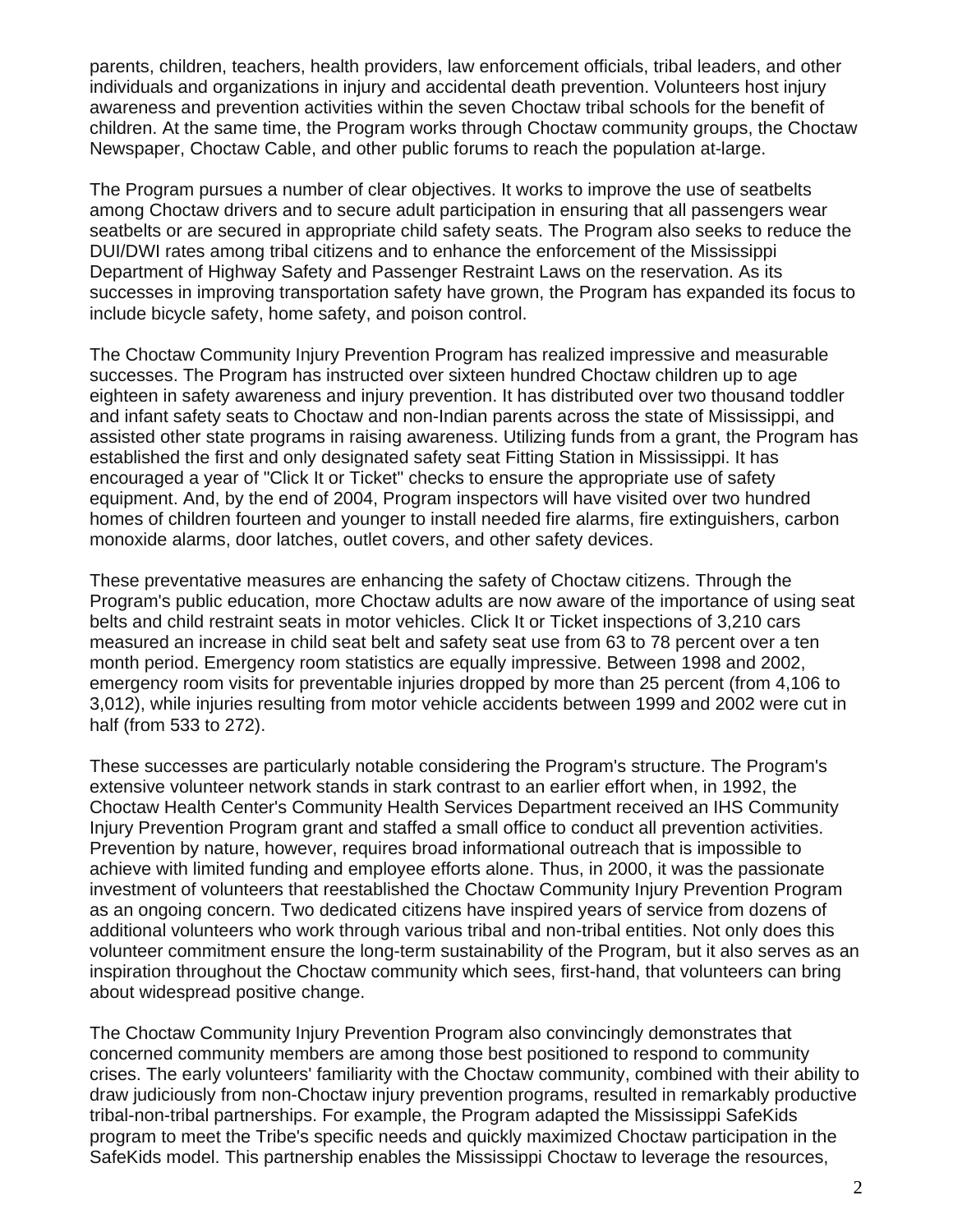parents, children, teachers, health providers, law enforcement officials, tribal leaders, and other individuals and organizations in injury and accidental death prevention. Volunteers host injury awareness and prevention activities within the seven Choctaw tribal schools for the benefit of children. At the same time, the Program works through Choctaw community groups, the Choctaw Newspaper, Choctaw Cable, and other public forums to reach the population at-large.

The Program pursues a number of clear objectives. It works to improve the use of seatbelts among Choctaw drivers and to secure adult participation in ensuring that all passengers wear seatbelts or are secured in appropriate child safety seats. The Program also seeks to reduce the DUI/DWI rates among tribal citizens and to enhance the enforcement of the Mississippi Department of Highway Safety and Passenger Restraint Laws on the reservation. As its successes in improving transportation safety have grown, the Program has expanded its focus to include bicycle safety, home safety, and poison control.

The Choctaw Community Injury Prevention Program has realized impressive and measurable successes. The Program has instructed over sixteen hundred Choctaw children up to age eighteen in safety awareness and injury prevention. It has distributed over two thousand toddler and infant safety seats to Choctaw and non-Indian parents across the state of Mississippi, and assisted other state programs in raising awareness. Utilizing funds from a grant, the Program has established the first and only designated safety seat Fitting Station in Mississippi. It has encouraged a year of "Click It or Ticket" checks to ensure the appropriate use of safety equipment. And, by the end of 2004, Program inspectors will have visited over two hundred homes of children fourteen and younger to install needed fire alarms, fire extinguishers, carbon monoxide alarms, door latches, outlet covers, and other safety devices.

These preventative measures are enhancing the safety of Choctaw citizens. Through the Program's public education, more Choctaw adults are now aware of the importance of using seat belts and child restraint seats in motor vehicles. Click It or Ticket inspections of 3,210 cars measured an increase in child seat belt and safety seat use from 63 to 78 percent over a ten month period. Emergency room statistics are equally impressive. Between 1998 and 2002, emergency room visits for preventable injuries dropped by more than 25 percent (from 4,106 to 3,012), while injuries resulting from motor vehicle accidents between 1999 and 2002 were cut in half (from 533 to 272).

These successes are particularly notable considering the Program's structure. The Program's extensive volunteer network stands in stark contrast to an earlier effort when, in 1992, the Choctaw Health Center's Community Health Services Department received an IHS Community Injury Prevention Program grant and staffed a small office to conduct all prevention activities. Prevention by nature, however, requires broad informational outreach that is impossible to achieve with limited funding and employee efforts alone. Thus, in 2000, it was the passionate investment of volunteers that reestablished the Choctaw Community Injury Prevention Program as an ongoing concern. Two dedicated citizens have inspired years of service from dozens of additional volunteers who work through various tribal and non-tribal entities. Not only does this volunteer commitment ensure the long-term sustainability of the Program, but it also serves as an inspiration throughout the Choctaw community which sees, first-hand, that volunteers can bring about widespread positive change.

The Choctaw Community Injury Prevention Program also convincingly demonstrates that concerned community members are among those best positioned to respond to community crises. The early volunteers' familiarity with the Choctaw community, combined with their ability to draw judiciously from non-Choctaw injury prevention programs, resulted in remarkably productive tribal-non-tribal partnerships. For example, the Program adapted the Mississippi SafeKids program to meet the Tribe's specific needs and quickly maximized Choctaw participation in the SafeKids model. This partnership enables the Mississippi Choctaw to leverage the resources,